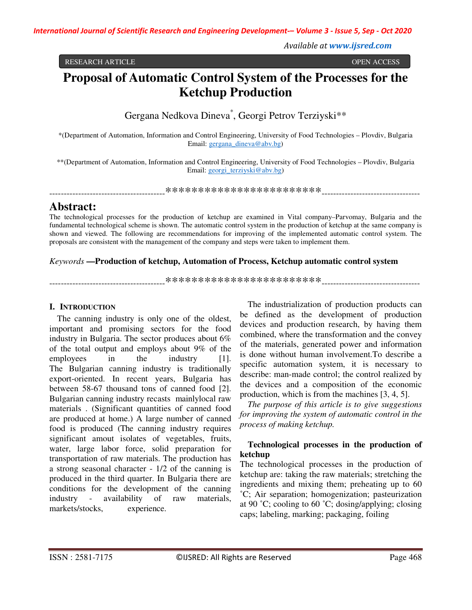*Available at www.ijsred.com*

RESEARCH ARTICLE OPEN ACCESS

# **Proposal of Automatic Control System of the Processes for the Ketchup Production**

Gergana Nedkova Dineva\* , Georgi Petrov Terziyski\*\*

\*(Department of Automation, Information and Control Engineering, University of Food Technologies – Plovdiv, Bulgaria Email: gergana\_dineva@abv.bg)

\*\*(Department of Automation, Information and Control Engineering, University of Food Technologies – Plovdiv, Bulgaria Email: georgi\_terziyski@abv.bg)

----------------------------------------\*\*\*\*\*\*\*\*\*\*\*\*\*\*\*\*\*\*\*\*\*\*\*\*----------------------------------

# **Abstract:**

The technological processes for the production of ketchup are examined in Vital company–Parvomay, Bulgaria and the fundamental technological scheme is shown. The automatic control system in the production of ketchup at the same company is shown and viewed. The following are recommendations for improving of the implemented automatic control system. The proposals are consistent with the management of the company and steps were taken to implement them.

#### *Keywords* **—Production of ketchup, Automation of Process, Ketchup automatic control system**

----------------------------------------\*\*\*\*\*\*\*\*\*\*\*\*\*\*\*\*\*\*\*\*\*\*\*\*----------------------------------

# **I. INTRODUCTION**

The canning industry is only one of the oldest, important and promising sectors for the food industry in Bulgaria. The sector produces about 6% of the total output and employs about 9% of the employees in the industry [1]. The Bulgarian canning industry is traditionally export-oriented. In recent years, Bulgaria has between 58-67 thousand tons of canned food [2]. Bulgarian canning industry recasts mainlylocal raw materials . (Significant quantities of canned food are produced at home.) A large number of canned food is produced (The canning industry requires significant amout isolates of vegetables, fruits, water, large labor force, solid preparation for transportation of raw materials. The production has a strong seasonal character - 1/2 of the canning is produced in the third quarter. In Bulgaria there are conditions for the development of the canning industry - availability of raw materials, markets/stocks, experience.

The industrialization of production products can be defined as the development of production devices and production research, by having them combined, where the transformation and the convey of the materials, generated power and information is done without human involvement.To describe a specific automation system, it is necessary to describe: man-made control; the control realized by the devices and a composition of the economic production, which is from the machines [3, 4, 5].

*The purpose of this article is to give suggestions for improving the system of automatic control in the process of making ketchup.* 

## **Technological processes in the production of ketchup**

The technological processes in the production of ketchup are: taking the raw materials; stretching the ingredients and mixing them; preheating up to 60 ˚C; Air separation; homogenization; pasteurization at 90 ˚C; cooling to 60 ˚C; dosing/applying; closing caps; labeling, marking; packaging, foiling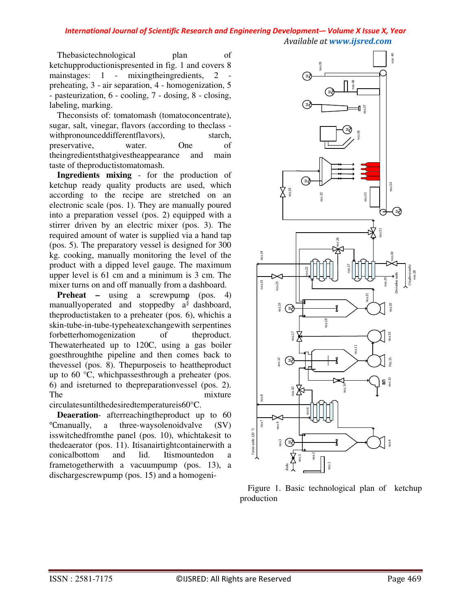Thebasictechnological plan of ketchupproductionispresented in fig. 1 and covers 8 mainstages: 1 - mixingtheingredients, 2 preheating, 3 - air separation, 4 - homogenization, 5 - pasteurization, 6 - cooling, 7 - dosing, 8 - closing, labeling, marking.

Theconsists of: tomatomash (tomatoconcentrate), sugar, salt, vinegar, flavors (according to theclass withpronounceddifferentflavors), starch, preservative, water. One of theingredientsthatgivestheappearance and main taste of theproductistomatomash.

**Ingredients mixing** - for the production of ketchup ready quality products are used, which according to the recipe are stretched on an electronic scale (pos. 1). They are manually poured into a preparation vessel (pos. 2) equipped with a stirrer driven by an electric mixer (pos. 3). The required amount of water is supplied via a hand tap (pos. 5). The preparatory vessel is designed for 300 kg. cooking, manually monitoring the level of the product with a dipped level gauge. The maximum upper level is 61 cm and a minimum is 3 cm. The mixer turns on and off manually from a dashboard.

**Preheat** – using a screwpump (pos. 4) manuallyoperated and stoppedby  $a^{\frac{3}{2}}$  dashboard, theproductistaken to a preheater (pos. 6), whichis a skin-tube-in-tube-typeheatexchangewith serpentines forbetterhomogenization of the product. Thewaterheated up to 120C, using a gas boiler goesthroughthe pipeline and then comes back to thevessel (pos. 8). Thepurposeis to heattheproduct up to 60 °C, whichpassesthrough a preheater (pos. 6) and isreturned to thepreparationvessel (pos. 2). The mixture circulatesuntilthedesiredtemperatureis60°C.

**Deaeration**- afterreachingtheproduct up to 60  $^{\circ}$ Cmanually, a three-waysolenoidvalve (SV) isswitchedfromthe panel (pos. 10), whichtakesit to thedeaerator (pos. 11). Itisanairtightcontainerwith a conicalbottom and lid. Itismountedon a frametogetherwith a vacuumpump (pos. 13), a dischargescrewpump (pos. 15) and a homogeni-



Figure 1. Basic technological plan of ketchup production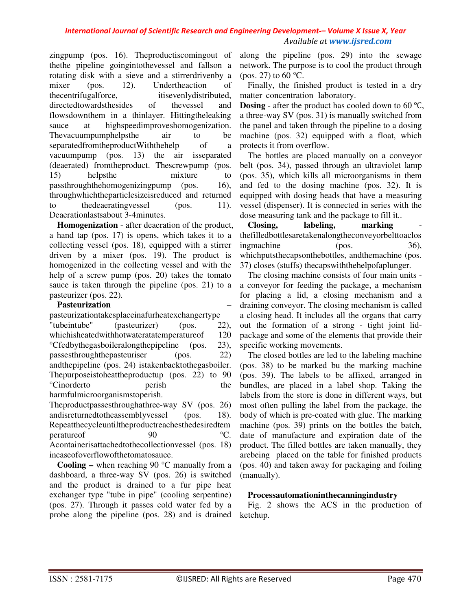zingpump (pos. 16). Theproductiscomingout of thethe pipeline goingintothevessel and fallson a rotating disk with a sieve and a stirrerdrivenby a mixer (pos. 12). Undertheaction of thecentrifugalforce, itisevenlydistributed, directedtowardsthesides of thevessel and flowsdownthem in a thinlayer. Hittingtheleaking sauce at highspeedimproveshomogenization. Thevacuumpumphelpsthe air to be separatedfromtheproductWiththehelp of a vacuumpump (pos. 13) the air isseparated (deaerated) fromtheproduct. Thescrewpump (pos. 15) helpsthe mixture to passthroughthehomogenizingpump (pos. 16), throughwhichtheparticlesizeisreduced and returned  $the decating vessel$  (pos. 11). Deaerationlastsabout 3-4minutes.

**Homogenization** - after deaeration of the product, a hand tap (pos. 17) is opens, which takes it to a collecting vessel (pos. 18), equipped with a stirrer driven by a mixer (pos. 19). The product is homogenized in the collecting vessel and with the help of a screw pump (pos. 20) takes the tomato sauce is taken through the pipeline (pos. 21) to a pasteurizer (pos. 22).

#### **Pasteurization** –

pasteurizationtakesplaceinafurheatexchangertype "tubeintube" (pasteurizer) (pos. 22), whichisheatedwithhotwateratatemperatureof 120 °Cfedbythegasboileralongthepipeline (pos. 23), passesthroughthepasteuriser (pos. 22) andthepipeline (pos. 24) istakenbacktothegasboiler. Thepurposeistoheattheproductup (pos. 22) to 90 °Cinorderto perish the harmfulmicroorganismstoperish.

Theproductpassesthroughathree-way SV (pos. 26) andisreturnedtotheassemblyvessel (pos. 18). Repeatthecycleuntiltheproductreachesthedesiredtem perature of 90 °C. Acontainerisattachedtothecollectionvessel (pos. 18) incaseofoverflowofthetomatosauce.

**Cooling –** when reaching 90 °C manually from a dashboard, a three-way SV (pos. 26) is switched and the product is drained to a fur pipe heat exchanger type "tube in pipe" (cooling serpentine) (pos. 27). Through it passes cold water fed by a probe along the pipeline (pos. 28) and is drained

along the pipeline (pos. 29) into the sewage network. The purpose is to cool the product through (pos. 27) to 60  $\degree$ C.

Finally, the finished product is tested in a dry matter concentration laboratory.

**Dosing** - after the product has cooled down to 60 ℃, a three-way SV (pos. 31) is manually switched from the panel and taken through the pipeline to a dosing machine (pos. 32) equipped with a float, which protects it from overflow.

The bottles are placed manually on a conveyor belt (pos. 34), passed through an ultraviolet lamp (pos. 35), which kills all microorganisms in them and fed to the dosing machine (pos. 32). It is equipped with dosing heads that have a measuring vessel (dispenser). It is connected in series with the dose measuring tank and the package to fill it..

**Closing, labeling, marking** thefilledbottlesaretakenalongtheconveyorbelttoaclos ingmachine (pos. 36), whichputsthecapsonthebottles, andthemachine (pos. 37) closes (stuffs) thecapswiththehelpofaplunger.

The closing machine consists of four main units a conveyor for feeding the package, a mechanism for placing a lid, a closing mechanism and a draining conveyor. The closing mechanism is called a closing head. It includes all the organs that carry out the formation of a strong - tight joint lidpackage and some of the elements that provide their specific working movements.

The closed bottles are led to the labeling machine (pos. 38) to be marked bu the marking machine (pos. 39). The labels to be affixed, arranged in bundles, are placed in a label shop. Taking the labels from the store is done in different ways, but most often pulling the label from the package, the body of which is pre-coated with glue. The marking machine (pos. 39) prints on the bottles the batch, date of manufacture and expiration date of the product. The filled bottles are taken manually, they arebeing placed on the table for finished products (pos. 40) and taken away for packaging and foiling (manually).

#### **Processautomationinthecanningindustry**

Fig. 2 shows the ACS in the production of ketchup.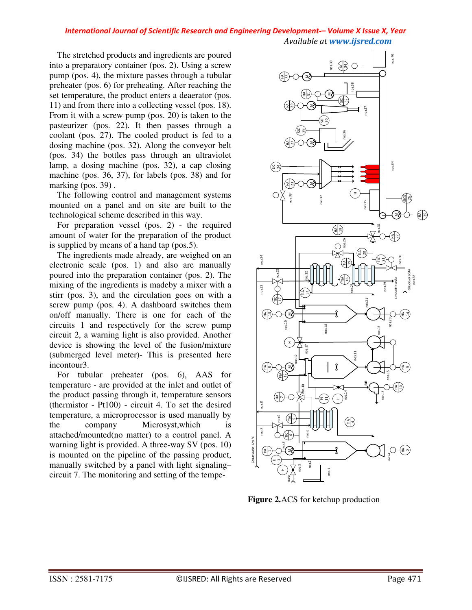The stretched products and ingredients are poured into a preparatory container (pos. 2). Using a screw pump (pos. 4), the mixture passes through a tubular preheater (pos. 6) for preheating. After reaching the set temperature, the product enters a deaerator (pos. 11) and from there into a collecting vessel (pos. 18). From it with a screw pump (pos. 20) is taken to the pasteurizer (pos. 22). It then passes through a coolant (pos. 27). The cooled product is fed to a dosing machine (pos. 32). Along the conveyor belt (pos. 34) the bottles pass through an ultraviolet lamp, a dosing machine (pos. 32), a cap closing machine (pos. 36, 37), for labels (pos. 38) and for marking (pos. 39).

The following control and management systems mounted on a panel and on site are built to the technological scheme described in this way.

For preparation vessel (pos. 2) - the required amount of water for the preparation of the product is supplied by means of a hand tap (pos.5).

The ingredients made already, are weighed on an electronic scale (pos. 1) and also are manually poured into the preparation container (pos. 2). The mixing of the ingredients is madeby a mixer with a stirr (pos. 3), and the circulation goes on with a screw pump (pos. 4). A dashboard switches them on/off manually. There is one for each of the circuits 1 and respectively for the screw pump circuit 2, a warning light is also provided. Another device is showing the level of the fusion/mixture (submerged level meter)- This is presented here incontour3.

For tubular preheater (pos. 6), AAS for temperature - are provided at the inlet and outlet of the product passing through it, temperature sensors (thermistor - Pt100) - circuit 4. To set the desired temperature, a microprocessor is used manually by the company Microsyst,which is attached/mounted(no matter) to a control panel. A warning light is provided. A three-way SV (pos. 10) is mounted on the pipeline of the passing product, manually switched by a panel with light signaling– circuit 7. The monitoring and setting of the tempe-



**Figure 2.**ACS for ketchup production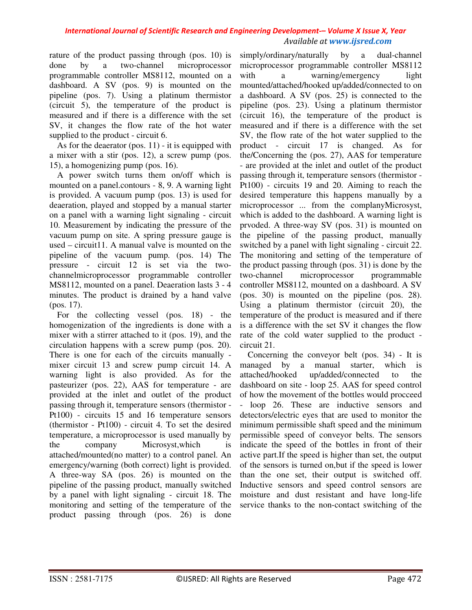rature of the product passing through (pos. 10) is done by a two-channel microprocessor programmable controller MS8112, mounted on a dashboard. A SV (pos. 9) is mounted on the pipeline (pos. 7). Using a platinum thermistor (circuit 5), the temperature of the product is measured and if there is a difference with the set SV, it changes the flow rate of the hot water supplied to the product - circuit 6.

As for the deaerator (pos.  $11$ ) - it is equipped with a mixer with a stir (pos. 12), a screw pump (pos. 15), a homogenizing pump (pos. 16).

A power switch turns them on/off which is mounted on a panel.contours - 8, 9. A warning light is provided. A vacuum pump (pos. 13) is used for deaeration, played and stopped by a manual starter on a panel with a warning light signaling - circuit 10. Measurement by indicating the pressure of the vacuum pump on site. A spring pressure gauge is used – circuit11. A manual valve is mounted on the pipeline of the vacuum pump. (pos. 14) The pressure - circuit 12 is set via the twochannelmicroprocessor programmable controller MS8112, mounted on a panel. Deaeration lasts 3 - 4 minutes. The product is drained by a hand valve (pos. 17).

For the collecting vessel (pos. 18) - the homogenization of the ingredients is done with a mixer with a stirrer attached to it (pos. 19), and the circulation happens with a screw pump (pos. 20). There is one for each of the circuits manually mixer circuit 13 and screw pump circuit 14. A warning light is also provided. As for the pasteurizer (pos. 22), AAS for temperature - are provided at the inlet and outlet of the product passing through it, temperature sensors (thermistor - Pt100) - circuits 15 and 16 temperature sensors (thermistor - Pt100) - circuit 4. To set the desired temperature, a microprocessor is used manually by the company Microsyst,which is attached/mounted(no matter) to a control panel. An emergency/warning (both correct) light is provided. A three-way SA (pos. 26) is mounted on the pipeline of the passing product, manually switched by a panel with light signaling - circuit 18. The monitoring and setting of the temperature of the product passing through (pos. 26) is done

simply/ordinary/naturally by a dual-channel microprocessor programmable controller MS8112 with a warning/emergency light mounted/attached/hooked up/added/connected to on a dashboard. A SV (pos. 25) is connected to the pipeline (pos. 23). Using a platinum thermistor (circuit 16), the temperature of the product is measured and if there is a difference with the set SV, the flow rate of the hot water supplied to the product - circuit 17 is changed. As for the/Concerning the (pos. 27), AAS for temperature - are provided at the inlet and outlet of the product passing through it, temperature sensors (thermistor - Pt100) - circuits 19 and 20. Aiming to reach the desired temperature this happens manually by a microprocessor ... from the complanyMicrosyst, which is added to the dashboard. A warning light is prvoded. A three-way SV (pos. 31) is mounted on the pipeline of the passing product, manually switched by a panel with light signaling - circuit 22. The monitoring and setting of the temperature of the product passing through (pos. 31) is done by the two-channel microprocessor programmable controller MS8112, mounted on a dashboard. A SV (pos. 30) is mounted on the pipeline (pos. 28). Using a platinum thermistor (circuit 20), the temperature of the product is measured and if there is a difference with the set SV it changes the flow rate of the cold water supplied to the product circuit 21.

Concerning the conveyor belt (pos. 34) - It is managed by a manual starter, which is attached/hooked up/added/connected to the dashboard on site - loop 25. AAS for speed control of how the movement of the bottles would procceed - loop 26. These are inductive sensors and detectors/electric eyes that are used to monitor the minimum permissible shaft speed and the minimum permissible speed of conveyor belts. The sensors indicate the speed of the bottles in front of their active part.If the speed is higher than set, the output of the sensors is turned on,but if the speed is lower than the one set, their output is switched off. Inductive sensors and speed control sensors are moisture and dust resistant and have long-life service thanks to the non-contact switching of the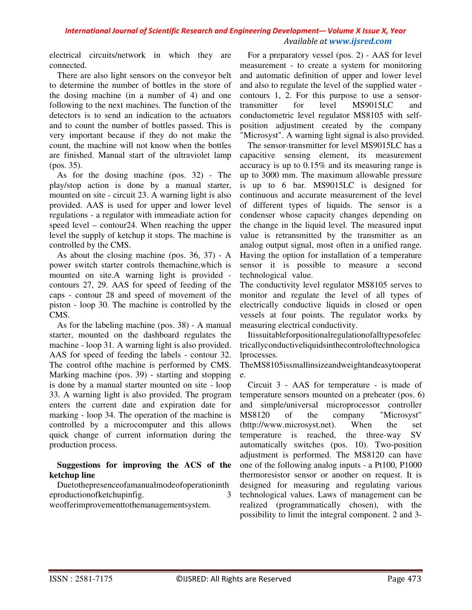electrical circuits/network in which they are connected.

There are also light sensors on the conveyor belt to determine the number of bottles in the store of the dosing machine (in a number of 4) and one following to the next machines. The function of the detectors is to send an indication to the actuators and to count the number of bottles passed. This is very important because if they do not make the count, the machine will not know when the bottles are finished. Manual start of the ultraviolet lamp (pos. 35).

As for the dosing machine (pos. 32) - The play/stop action is done by a manual starter, mounted on site - circuit 23. A warning light is also provided. AAS is used for upper and lower level regulations - a regulator with immeadiate action for speed level – contour24. When reaching the upper level the supply of ketchup it stops. The machine is controlled by the CMS.

As about the closing machine (pos. 36, 37) - A power switch starter controls themachine,which is mounted on site.A warning light is provided contours 27, 29. AAS for speed of feeding of the caps - contour 28 and speed of movement of the piston - loop 30. The machine is controlled by the CMS.

As for the labeling machine (pos. 38) - A manual starter, mounted on the dashboard regulates the machine - loop 31. A warning light is also provided. AAS for speed of feeding the labels - contour 32. The control ofthe machine is performed by CMS. Marking machine (pos. 39) - starting and stopping is done by a manual starter mounted on site - loop 33. A warning light is also provided. The program enters the current date and expiration date for marking - loop 34. The operation of the machine is controlled by a microcomputer and this allows quick change of current information during the production process.

### **Suggestions for improving the ACS of the ketchup line**

Duetothepresenceofamanualmodeofoperationinth eproductionofketchupinfig. 3

weofferimprovementtothemanagementsystem.

For a preparatory vessel (pos. 2) - AAS for level measurement - to create a system for monitoring and automatic definition of upper and lower level and also to regulate the level of the supplied water contours 1, 2. For this purpose to use a sensortransmitter for level MS9015LC and conductometric level regulator MS8105 with selfposition adjustment created by the company "Microsyst". A warning light signal is also provided.

The sensor-transmitter for level MS9015LC has a capacitive sensing element, its measurement accuracy is up to 0.15% and its measuring range is up to 3000 mm. The maximum allowable pressure is up to 6 bar. MS9015LC is designed for continuous and accurate measurement of the level of different types of liquids. The sensor is a condenser whose capacity changes depending on the change in the liquid level. The measured input value is retransmitted by the transmitter as an analog output signal, most often in a unified range. Having the option for installation of a temperature sensor it is possible to measure a second technological value.

The conductivity level regulator MS8105 serves to monitor and regulate the level of all types of electrically conductive liquids in closed or open vessels at four points. The regulator works by measuring electrical conductivity.

Itissuitableforpositionalregulationofalltypesofelec tricallyconductiveliquidsinthecontroloftechnologica lprocesses.

TheMS8105issmallinsizeandweightandeasytooperat e.

Circuit 3 - AAS for temperature - is made of temperature sensors mounted on a preheater (pos. 6) and simple/universal microprocessor controller MS8120 of the company "Microsyst" (http://www.microsyst.net). When the set temperature is reached, the three-way SV automatically switches (pos. 10). Two-position adjustment is performed. The MS8120 can have one of the following analog inputs - a Pt100, P1000 thermoresistor sensor or another on request. It is designed for measuring and regulating various technological values. Laws of management can be realized (programmatically chosen), with the possibility to limit the integral component. 2 and 3-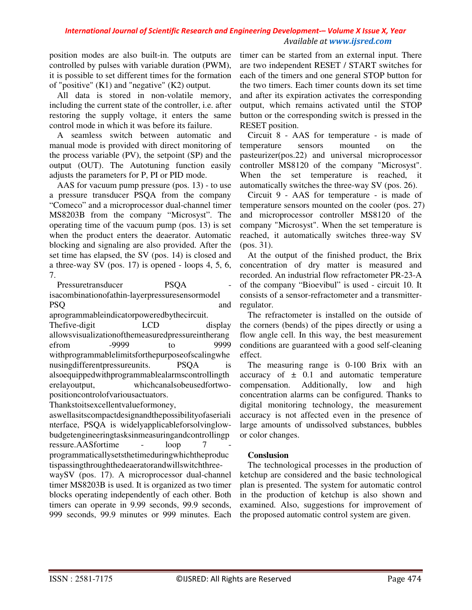position modes are also built-in. The outputs are controlled by pulses with variable duration (PWM), it is possible to set different times for the formation of "positive" (K1) and "negative" (K2) output.

All data is stored in non-volatile memory, including the current state of the controller, i.e. after restoring the supply voltage, it enters the same control mode in which it was before its failure.

A seamless switch between automatic and manual mode is provided with direct monitoring of the process variable (PV), the setpoint (SP) and the output (OUT). The Autotuning function easily adjusts the parameters for P, PI or PID mode.

AAS for vacuum pump pressure (pos. 13) - to use a pressure transducer PSQA from the company "Comeco" and a microprocessor dual-channel timer MS8203B from the company "Microsyst". The operating time of the vacuum pump (pos. 13) is set when the product enters the deaerator. Automatic blocking and signaling are also provided. After the set time has elapsed, the SV (pos. 14) is closed and a three-way SV (pos. 17) is opened - loops 4, 5, 6, 7.

Pressuretransducer PSOA isacombinationofathin-layerpressuresensormodel PSQ and

aprogrammableindicatorpoweredbythecircuit.

The five-digit LCD display allowsvisualizationofthemeasuredpressureintherang<br>efrom -9999 to 9999 efrom -9999 to 9999 withprogrammablelimitsforthepurposeofscalingwhe nusing different pressureunits. PSQA is alsoequippedwithprogrammablealarmscontrollingth erelayoutput, whichcanalsobeusedfortwopositioncontrolofvariousactuators.

Thankstoitsexcellentvalueformoney,

aswellasitscompactdesignandthepossibilityofaseriali nterface, PSQA is widelyapplicableforsolvinglowbudgetengineeringtasksinmeasuringandcontrollingp ressure.AASfortime - loop 7 programmaticallysetsthetimeduringwhichtheproduc tispassingthroughthedeaeratorandwillswitchthree-

waySV (pos. 17). A microprocessor dual-channel timer MS8203B is used. It is organized as two timer blocks operating independently of each other. Both timers can operate in 9.99 seconds, 99.9 seconds, 999 seconds, 99.9 minutes or 999 minutes. Each

timer can be started from an external input. There are two independent RESET / START switches for each of the timers and one general STOP button for the two timers. Each timer counts down its set time and after its expiration activates the corresponding output, which remains activated until the STOP button or the corresponding switch is pressed in the RESET position.

Circuit 8 - AAS for temperature - is made of temperature sensors mounted on the pasteurizer(pos.22) and universal microprocessor controller MS8120 of the company "Microsyst". When the set temperature is reached, it automatically switches the three-way SV (pos. 26).

Circuit 9 - AAS for temperature - is made of temperature sensors mounted on the cooler (pos. 27) and microprocessor controller MS8120 of the company "Microsyst". When the set temperature is reached, it automatically switches three-way SV (pos. 31).

At the output of the finished product, the Brix concentration of dry matter is measured and recorded. An industrial flow refractometer PR-23-A of the company "Bioevibul" is used - circuit 10. It consists of a sensor-refractometer and a transmitterregulator.

The refractometer is installed on the outside of the corners (bends) of the pipes directly or using a flow angle cell. In this way, the best measurement conditions are guaranteed with a good self-cleaning effect.

The measuring range is 0-100 Brix with an accuracy of  $\pm$  0.1 and automatic temperature compensation. Additionally, low and high concentration alarms can be configured. Thanks to digital monitoring technology, the measurement accuracy is not affected even in the presence of large amounts of undissolved substances, bubbles or color changes.

# **Conslusion**

The technological processes in the production of ketchup are considered and the basic technological plan is presented. The system for automatic control in the production of ketchup is also shown and examined. Also, suggestions for improvement of the proposed automatic control system are given.